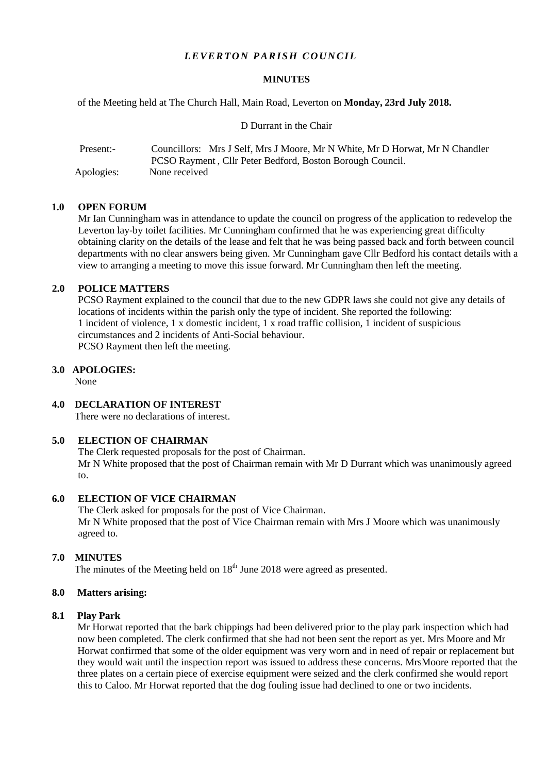# *LEVERTON PARISH COUNCIL*

### **MINUTES**

of the Meeting held at The Church Hall, Main Road, Leverton on **Monday, 23rd July 2018.**

D Durrant in the Chair

| Present:-  | Councillors: Mrs J Self, Mrs J Moore, Mr N White, Mr D Horwat, Mr N Chandler |
|------------|------------------------------------------------------------------------------|
|            | PCSO Rayment, Cllr Peter Bedford, Boston Borough Council.                    |
| Apologies: | None received                                                                |

## **1.0 OPEN FORUM**

Mr Ian Cunningham was in attendance to update the council on progress of the application to redevelop the Leverton lay-by toilet facilities. Mr Cunningham confirmed that he was experiencing great difficulty obtaining clarity on the details of the lease and felt that he was being passed back and forth between council departments with no clear answers being given. Mr Cunningham gave Cllr Bedford his contact details with a view to arranging a meeting to move this issue forward. Mr Cunningham then left the meeting.

### **2.0 POLICE MATTERS**

PCSO Rayment explained to the council that due to the new GDPR laws she could not give any details of locations of incidents within the parish only the type of incident. She reported the following: 1 incident of violence, 1 x domestic incident, 1 x road traffic collision, 1 incident of suspicious circumstances and 2 incidents of Anti-Social behaviour. PCSO Rayment then left the meeting.

### **3.0 APOLOGIES:**

None

**4.0 DECLARATION OF INTEREST**

There were no declarations of interest.

# **5.0 ELECTION OF CHAIRMAN**

The Clerk requested proposals for the post of Chairman.

Mr N White proposed that the post of Chairman remain with Mr D Durrant which was unanimously agreed to.

# **6.0 ELECTION OF VICE CHAIRMAN**

The Clerk asked for proposals for the post of Vice Chairman. Mr N White proposed that the post of Vice Chairman remain with Mrs J Moore which was unanimously agreed to.

## **7.0 MINUTES**

The minutes of the Meeting held on  $18<sup>th</sup>$  June 2018 were agreed as presented.

#### **8.0 Matters arising:**

### **8.1 Play Park**

Mr Horwat reported that the bark chippings had been delivered prior to the play park inspection which had now been completed. The clerk confirmed that she had not been sent the report as yet. Mrs Moore and Mr Horwat confirmed that some of the older equipment was very worn and in need of repair or replacement but they would wait until the inspection report was issued to address these concerns. MrsMoore reported that the three plates on a certain piece of exercise equipment were seized and the clerk confirmed she would report this to Caloo. Mr Horwat reported that the dog fouling issue had declined to one or two incidents.